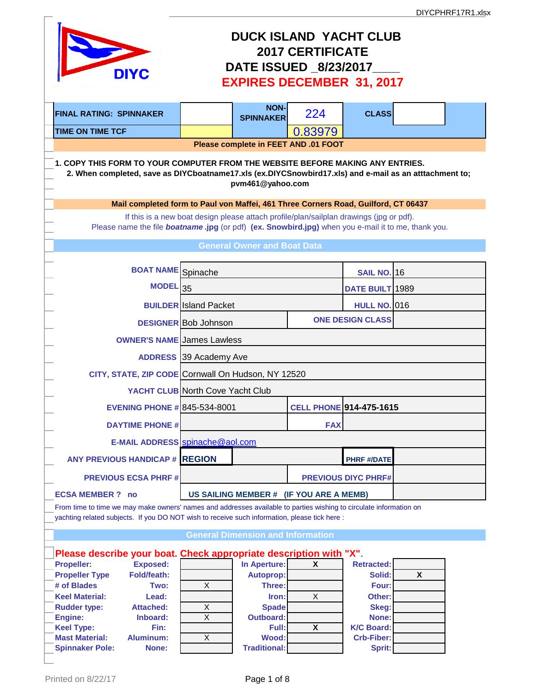

## **DUCK ISLAND YACHT CLUB 2017 CERTIFICATE DATE ISSUED \_8/23/2017\_\_\_\_ EXPIRES DECEMBER 31, 2017**

| <b>FINAL RATING: SPINNAKER</b>                                                                                                                                                                                     |                               | <b>NON-</b><br><b>SPINNAKER</b>          | 224                                     | <b>CLASS</b>                |   |  |  |
|--------------------------------------------------------------------------------------------------------------------------------------------------------------------------------------------------------------------|-------------------------------|------------------------------------------|-----------------------------------------|-----------------------------|---|--|--|
| <b>TIME ON TIME TCF</b>                                                                                                                                                                                            |                               |                                          | 0.83979                                 |                             |   |  |  |
|                                                                                                                                                                                                                    |                               |                                          | Please complete in FEET AND .01 FOOT    |                             |   |  |  |
| 1. COPY THIS FORM TO YOUR COMPUTER FROM THE WEBSITE BEFORE MAKING ANY ENTRIES.<br>2. When completed, save as DIYCboatname17.xls (ex.DIYCSnowbird17.xls) and e-mail as an atttachment to;<br>pvm461@yahoo.com       |                               |                                          |                                         |                             |   |  |  |
| Mail completed form to Paul von Maffei, 461 Three Corners Road, Guilford, CT 06437                                                                                                                                 |                               |                                          |                                         |                             |   |  |  |
| If this is a new boat design please attach profile/plan/sailplan drawings (jpg or pdf).<br>Please name the file <b>boatname.jpg</b> (or pdf) (ex. Snowbird.jpg) when you e-mail it to me, thank you.               |                               |                                          |                                         |                             |   |  |  |
|                                                                                                                                                                                                                    |                               | <b>General Owner and Boat Data</b>       |                                         |                             |   |  |  |
| <b>BOAT NAME</b> Spinache                                                                                                                                                                                          |                               |                                          |                                         | <b>SAIL NO. 16</b>          |   |  |  |
| MODEL <sub>35</sub>                                                                                                                                                                                                |                               |                                          |                                         | DATE BUILT 1989             |   |  |  |
|                                                                                                                                                                                                                    | <b>BUILDER</b> Island Packet  |                                          |                                         | <b>HULL NO. 016</b>         |   |  |  |
|                                                                                                                                                                                                                    | <b>DESIGNER</b> Bob Johnson   |                                          |                                         | <b>ONE DESIGN CLASS</b>     |   |  |  |
| <b>OWNER'S NAME James Lawless</b>                                                                                                                                                                                  |                               |                                          |                                         |                             |   |  |  |
|                                                                                                                                                                                                                    | <b>ADDRESS</b> 39 Academy Ave |                                          |                                         |                             |   |  |  |
| CITY, STATE, ZIP CODE Cornwall On Hudson, NY 12520                                                                                                                                                                 |                               |                                          |                                         |                             |   |  |  |
| <b>YACHT CLUB North Cove Yacht Club</b>                                                                                                                                                                            |                               |                                          |                                         |                             |   |  |  |
| <b>EVENING PHONE # 845-534-8001</b>                                                                                                                                                                                |                               |                                          | <b>CELL PHONE 914-475-1615</b>          |                             |   |  |  |
| <b>DAYTIME PHONE #</b>                                                                                                                                                                                             |                               |                                          | <b>FAX</b>                              |                             |   |  |  |
| E-MAIL ADDRESS spinache@aol.com                                                                                                                                                                                    |                               |                                          |                                         |                             |   |  |  |
| <b>ANY PREVIOUS HANDICAP # REGION</b>                                                                                                                                                                              |                               |                                          |                                         | <b>PHRF #/DATE</b>          |   |  |  |
| <b>PREVIOUS ECSA PHRF#</b>                                                                                                                                                                                         |                               |                                          |                                         | <b>PREVIOUS DIYC PHRF#</b>  |   |  |  |
| <b>ECSA MEMBER ? no</b>                                                                                                                                                                                            |                               |                                          | US SAILING MEMBER # (IF YOU ARE A MEMB) |                             |   |  |  |
| From time to time we may make owners' names and addresses available to parties wishing to circulate information on<br>yachting related subjects. If you DO NOT wish to receive such information, please tick here: |                               |                                          |                                         |                             |   |  |  |
|                                                                                                                                                                                                                    |                               | <b>General Dimension and Information</b> |                                         |                             |   |  |  |
| Please describe your boat. Check appropriate description with "X".                                                                                                                                                 |                               |                                          |                                         |                             |   |  |  |
| <b>Propeller:</b><br><b>Exposed:</b><br><b>Propeller Type</b><br><b>Fold/feath:</b>                                                                                                                                |                               | In Aperture:<br><b>Autoprop:</b>         | X                                       | <b>Retracted:</b><br>Solid: | X |  |  |
| # of Blades<br>Two:                                                                                                                                                                                                | X                             | Three:                                   |                                         | Four:                       |   |  |  |
| <b>Keel Material:</b><br>Lead:                                                                                                                                                                                     |                               | Iron:                                    | X                                       | Other:                      |   |  |  |
| <b>Attached:</b><br><b>Rudder type:</b>                                                                                                                                                                            | Χ                             | <b>Spade</b>                             |                                         | Skeg:                       |   |  |  |
| Inboard:<br>Engine:                                                                                                                                                                                                | X                             | <b>Outboard:</b>                         |                                         | None:                       |   |  |  |
| Fin:<br><b>Keel Type:</b>                                                                                                                                                                                          |                               | Full:                                    | $\pmb{\mathsf{X}}$                      | <b>K/C Board:</b>           |   |  |  |
| <b>Mast Material:</b><br>Aluminum:<br><b>Spinnaker Pole:</b><br>None:                                                                                                                                              | X                             | Wood:<br><b>Traditional:</b>             |                                         | <b>Crb-Fiber:</b><br>Sprit: |   |  |  |
|                                                                                                                                                                                                                    |                               |                                          |                                         |                             |   |  |  |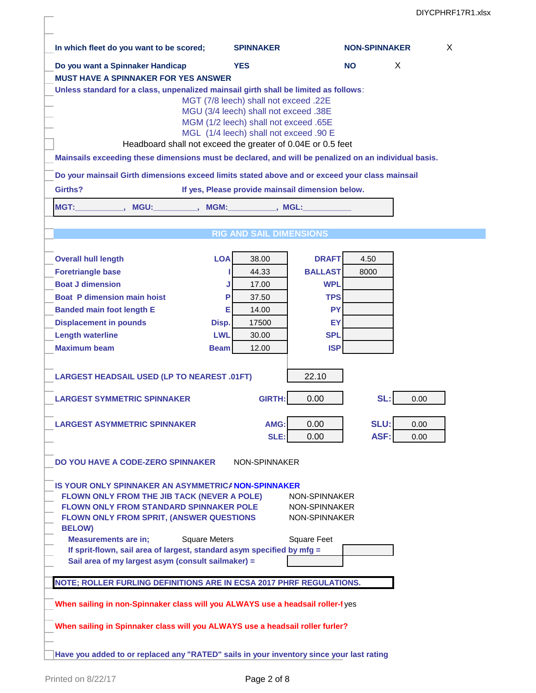| In which fleet do you want to be scored;                                                                                                                                                                                                                                                                                                                 | <b>SPINNAKER</b>                                                                                                                                                                                                                 | <b>NON-SPINNAKER</b>         | X |
|----------------------------------------------------------------------------------------------------------------------------------------------------------------------------------------------------------------------------------------------------------------------------------------------------------------------------------------------------------|----------------------------------------------------------------------------------------------------------------------------------------------------------------------------------------------------------------------------------|------------------------------|---|
| Do you want a Spinnaker Handicap                                                                                                                                                                                                                                                                                                                         | <b>YES</b>                                                                                                                                                                                                                       | X<br><b>NO</b>               |   |
| <b>MUST HAVE A SPINNAKER FOR YES ANSWER</b>                                                                                                                                                                                                                                                                                                              |                                                                                                                                                                                                                                  |                              |   |
| Unless standard for a class, unpenalized mainsail girth shall be limited as follows:                                                                                                                                                                                                                                                                     | MGT (7/8 leech) shall not exceed .22E<br>MGU (3/4 leech) shall not exceed .38E<br>MGM (1/2 leech) shall not exceed .65E<br>MGL (1/4 leech) shall not exceed .90 E<br>Headboard shall not exceed the greater of 0.04E or 0.5 feet |                              |   |
| Mainsails exceeding these dimensions must be declared, and will be penalized on an individual basis.                                                                                                                                                                                                                                                     |                                                                                                                                                                                                                                  |                              |   |
| Do your mainsail Girth dimensions exceed limits stated above and or exceed your class mainsail                                                                                                                                                                                                                                                           |                                                                                                                                                                                                                                  |                              |   |
| Girths?                                                                                                                                                                                                                                                                                                                                                  | If yes, Please provide mainsail dimension below.                                                                                                                                                                                 |                              |   |
| MGT:<br>______, MGU:____________, MGM:______________, MGL:__                                                                                                                                                                                                                                                                                             |                                                                                                                                                                                                                                  |                              |   |
|                                                                                                                                                                                                                                                                                                                                                          |                                                                                                                                                                                                                                  |                              |   |
|                                                                                                                                                                                                                                                                                                                                                          | <b>RIG AND SAIL DIMENSIONS</b>                                                                                                                                                                                                   |                              |   |
| <b>Overall hull length</b><br><b>Foretriangle base</b>                                                                                                                                                                                                                                                                                                   | <b>LOA</b><br><b>DRAFT</b><br>38.00<br><b>BALLAST</b><br>44.33                                                                                                                                                                   | 4.50<br>8000                 |   |
| <b>Boat J dimension</b>                                                                                                                                                                                                                                                                                                                                  | <b>WPL</b><br>17.00                                                                                                                                                                                                              |                              |   |
| <b>Boat P dimension main hoist</b>                                                                                                                                                                                                                                                                                                                       | <b>TPS</b><br>P<br>37.50                                                                                                                                                                                                         |                              |   |
| <b>Banded main foot length E</b>                                                                                                                                                                                                                                                                                                                         | Е<br>14.00                                                                                                                                                                                                                       | <b>PY</b>                    |   |
| <b>Displacement in pounds</b>                                                                                                                                                                                                                                                                                                                            | 17500<br>Disp.                                                                                                                                                                                                                   | EY                           |   |
| <b>Length waterline</b>                                                                                                                                                                                                                                                                                                                                  | <b>SPL</b><br><b>LWL</b><br>30.00                                                                                                                                                                                                |                              |   |
| <b>Maximum beam</b>                                                                                                                                                                                                                                                                                                                                      | 12.00<br><b>Beam</b>                                                                                                                                                                                                             | <b>ISP</b>                   |   |
| <b>LARGEST HEADSAIL USED (LP TO NEAREST .01FT)</b>                                                                                                                                                                                                                                                                                                       | 22.10                                                                                                                                                                                                                            |                              |   |
| <b>LARGEST SYMMETRIC SPINNAKER</b>                                                                                                                                                                                                                                                                                                                       | <b>GIRTH:</b><br>0.00                                                                                                                                                                                                            | SL:<br>0.00                  |   |
| <b>LARGEST ASYMMETRIC SPINNAKER</b>                                                                                                                                                                                                                                                                                                                      | AMG:<br>0.00<br>0.00<br>SLE:                                                                                                                                                                                                     | SLU:<br>0.00<br>ASF:<br>0.00 |   |
| DO YOU HAVE A CODE-ZERO SPINNAKER                                                                                                                                                                                                                                                                                                                        | NON-SPINNAKER                                                                                                                                                                                                                    |                              |   |
| <b>IS YOUR ONLY SPINNAKER AN ASYMMETRICANON-SPINNAKER</b><br>FLOWN ONLY FROM THE JIB TACK (NEVER A POLE)<br><b>FLOWN ONLY FROM STANDARD SPINNAKER POLE</b><br>FLOWN ONLY FROM SPRIT, (ANSWER QUESTIONS<br><b>BELOW)</b><br><b>Square Meters</b><br><b>Measurements are in;</b><br>If sprit-flown, sail area of largest, standard asym specified by mfg = | NON-SPINNAKER<br>NON-SPINNAKER<br>NON-SPINNAKER<br><b>Square Feet</b>                                                                                                                                                            |                              |   |
| Sail area of my largest asym (consult sailmaker) =                                                                                                                                                                                                                                                                                                       |                                                                                                                                                                                                                                  |                              |   |
| NOTE; ROLLER FURLING DEFINITIONS ARE IN ECSA 2017 PHRF REGULATIONS.                                                                                                                                                                                                                                                                                      |                                                                                                                                                                                                                                  |                              |   |
| When sailing in non-Spinnaker class will you ALWAYS use a headsail roller-fyes                                                                                                                                                                                                                                                                           |                                                                                                                                                                                                                                  |                              |   |
| When sailing in Spinnaker class will you ALWAYS use a headsail roller furler?                                                                                                                                                                                                                                                                            |                                                                                                                                                                                                                                  |                              |   |
|                                                                                                                                                                                                                                                                                                                                                          |                                                                                                                                                                                                                                  |                              |   |
| Have you added to or replaced any "RATED" sails in your inventory since your last rating                                                                                                                                                                                                                                                                 |                                                                                                                                                                                                                                  |                              |   |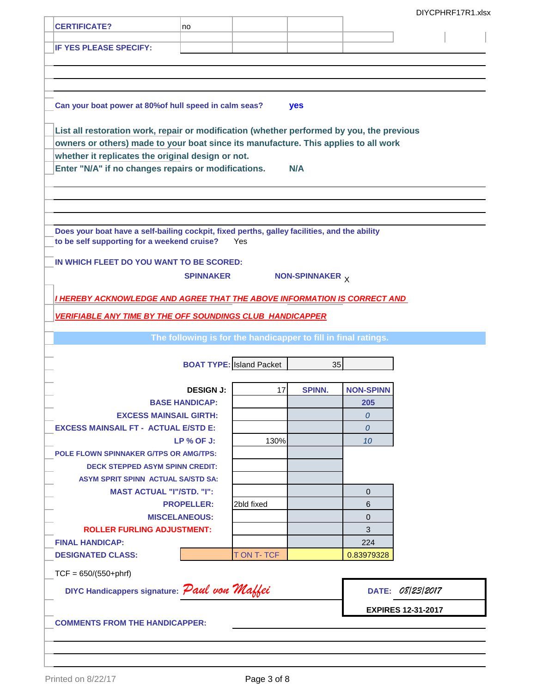| <b>CERTIFICATE?</b>                                                                                                                         | no                    |                                                                |                            |                   |                           |
|---------------------------------------------------------------------------------------------------------------------------------------------|-----------------------|----------------------------------------------------------------|----------------------------|-------------------|---------------------------|
| <b>IF YES PLEASE SPECIFY:</b>                                                                                                               |                       |                                                                |                            |                   |                           |
|                                                                                                                                             |                       |                                                                |                            |                   |                           |
|                                                                                                                                             |                       |                                                                |                            |                   |                           |
|                                                                                                                                             |                       |                                                                |                            |                   |                           |
|                                                                                                                                             |                       |                                                                |                            |                   |                           |
| Can your boat power at 80% of hull speed in calm seas?                                                                                      |                       |                                                                | yes                        |                   |                           |
| List all restoration work, repair or modification (whether performed by you, the previous                                                   |                       |                                                                |                            |                   |                           |
| owners or others) made to your boat since its manufacture. This applies to all work                                                         |                       |                                                                |                            |                   |                           |
| whether it replicates the original design or not.                                                                                           |                       |                                                                |                            |                   |                           |
| Enter "N/A" if no changes repairs or modifications.                                                                                         |                       |                                                                | <b>N/A</b>                 |                   |                           |
|                                                                                                                                             |                       |                                                                |                            |                   |                           |
|                                                                                                                                             |                       |                                                                |                            |                   |                           |
|                                                                                                                                             |                       |                                                                |                            |                   |                           |
|                                                                                                                                             |                       |                                                                |                            |                   |                           |
| Does your boat have a self-bailing cockpit, fixed perths, galley facilities, and the ability<br>to be self supporting for a weekend cruise? |                       | Yes                                                            |                            |                   |                           |
|                                                                                                                                             |                       |                                                                |                            |                   |                           |
| IN WHICH FLEET DO YOU WANT TO BE SCORED:                                                                                                    |                       |                                                                |                            |                   |                           |
|                                                                                                                                             | <b>SPINNAKER</b>      |                                                                | NON-SPINNAKER <sub>X</sub> |                   |                           |
|                                                                                                                                             |                       |                                                                |                            |                   |                           |
| <b>I HEREBY ACKNOWLEDGE AND AGREE THAT THE ABOVE INFORMATION IS CORRECT AND</b>                                                             |                       |                                                                |                            |                   |                           |
|                                                                                                                                             |                       |                                                                |                            |                   |                           |
| <b>VERIFIABLE ANY TIME BY THE OFF SOUNDINGS CLUB HANDICAPPER</b>                                                                            |                       |                                                                |                            |                   |                           |
|                                                                                                                                             |                       |                                                                |                            |                   |                           |
|                                                                                                                                             |                       | The following is for the handicapper to fill in final ratings. |                            |                   |                           |
|                                                                                                                                             |                       | <b>BOAT TYPE: Island Packet</b>                                | 35                         |                   |                           |
|                                                                                                                                             |                       |                                                                |                            |                   |                           |
|                                                                                                                                             | <b>DESIGN J:</b>      | 17                                                             | <b>SPINN.</b>              | <b>NON-SPINN</b>  |                           |
|                                                                                                                                             | <b>BASE HANDICAP:</b> |                                                                |                            | 205               |                           |
| <b>EXCESS MAINSAIL GIRTH:</b>                                                                                                               |                       |                                                                |                            | $\overline{O}$    |                           |
| <b>EXCESS MAINSAIL FT - ACTUAL E/STD E:</b>                                                                                                 |                       |                                                                |                            | 0                 |                           |
|                                                                                                                                             | $LP \%$ OF J:         | 130%                                                           |                            | 10                |                           |
| <b>POLE FLOWN SPINNAKER G/TPS OR AMG/TPS:</b>                                                                                               |                       |                                                                |                            |                   |                           |
| <b>DECK STEPPED ASYM SPINN CREDIT:</b>                                                                                                      |                       |                                                                |                            |                   |                           |
| ASYM SPRIT SPINN ACTUAL SA/STD SA:                                                                                                          |                       |                                                                |                            |                   |                           |
| <b>MAST ACTUAL "I"/STD. "I":</b>                                                                                                            |                       |                                                                |                            | $\mathbf{0}$      |                           |
|                                                                                                                                             | <b>PROPELLER:</b>     | 2bld fixed                                                     |                            | 6                 |                           |
|                                                                                                                                             | <b>MISCELANEOUS:</b>  |                                                                |                            | $\mathbf 0$       |                           |
| <b>ROLLER FURLING ADJUSTMENT:</b>                                                                                                           |                       |                                                                |                            | 3                 |                           |
| <b>FINAL HANDICAP:</b><br><b>DESIGNATED CLASS:</b>                                                                                          |                       | T ON T- TCF                                                    |                            | 224<br>0.83979328 |                           |
|                                                                                                                                             |                       |                                                                |                            |                   |                           |
| $TCF = 650/(550+phrf)$                                                                                                                      |                       |                                                                |                            |                   |                           |
| DIYC Handicappers signature: Paul von Maffei                                                                                                |                       |                                                                |                            |                   | DATE: 08/23/2017          |
|                                                                                                                                             |                       |                                                                |                            |                   |                           |
| <b>COMMENTS FROM THE HANDICAPPER:</b>                                                                                                       |                       |                                                                |                            |                   | <b>EXPIRES 12-31-2017</b> |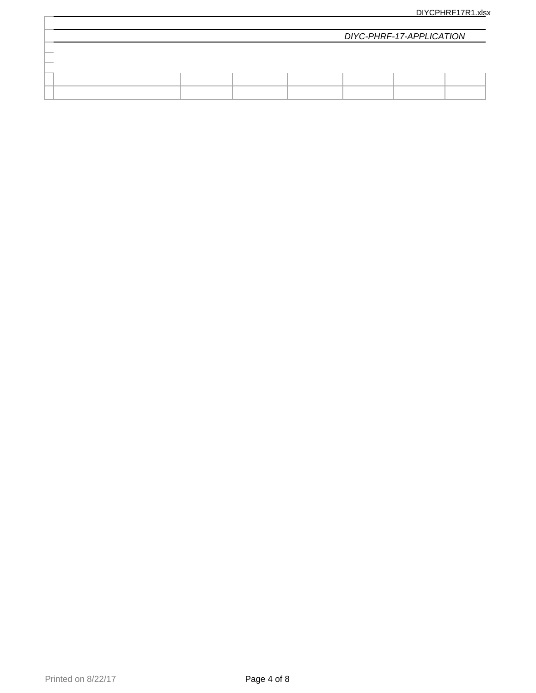|  |  |  | DIYC-PHRF-17-APPLICATION |  |
|--|--|--|--------------------------|--|
|  |  |  |                          |  |
|  |  |  |                          |  |
|  |  |  |                          |  |
|  |  |  |                          |  |
|  |  |  |                          |  |

Г